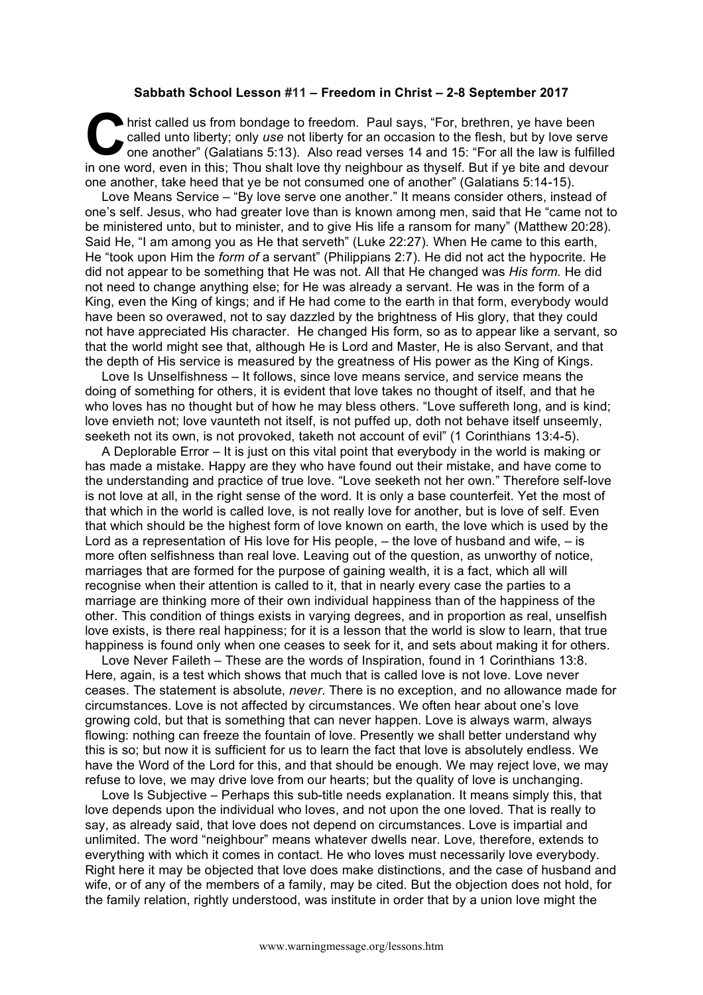## **Sabbath School Lesson #11 – Freedom in Christ – 2-8 September 2017**

hrist called us from bondage to freedom. Paul says, "For, brethren, ye have been called unto liberty; only *use* not liberty for an occasion to the flesh, but by love server one another" (Galatians 5:13). Also read verses called unto liberty; only *use* not liberty for an occasion to the flesh, but by love serve one another" (Galatians 5:13). Also read verses 14 and 15: "For all the law is fulfilled in one word, even in this; Thou shalt love thy neighbour as thyself. But if ye bite and devour one another, take heed that ye be not consumed one of another" (Galatians 5:14-15).

Love Means Service – "By love serve one another." It means consider others, instead of one's self. Jesus, who had greater love than is known among men, said that He "came not to be ministered unto, but to minister, and to give His life a ransom for many" (Matthew 20:28). Said He, "I am among you as He that serveth" (Luke 22:27). When He came to this earth, He "took upon Him the *form of* a servant" (Philippians 2:7). He did not act the hypocrite. He did not appear to be something that He was not. All that He changed was *His form*. He did not need to change anything else; for He was already a servant. He was in the form of a King, even the King of kings; and if He had come to the earth in that form, everybody would have been so overawed, not to say dazzled by the brightness of His glory, that they could not have appreciated His character. He changed His form, so as to appear like a servant, so that the world might see that, although He is Lord and Master, He is also Servant, and that the depth of His service is measured by the greatness of His power as the King of Kings.

Love Is Unselfishness – It follows, since love means service, and service means the doing of something for others, it is evident that love takes no thought of itself, and that he who loves has no thought but of how he may bless others. "Love suffereth long, and is kind; love envieth not; love vaunteth not itself, is not puffed up, doth not behave itself unseemly, seeketh not its own, is not provoked, taketh not account of evil" (1 Corinthians 13:4-5).

A Deplorable Error – It is just on this vital point that everybody in the world is making or has made a mistake. Happy are they who have found out their mistake, and have come to the understanding and practice of true love. "Love seeketh not her own." Therefore self-love is not love at all, in the right sense of the word. It is only a base counterfeit. Yet the most of that which in the world is called love, is not really love for another, but is love of self. Even that which should be the highest form of love known on earth, the love which is used by the Lord as a representation of His love for His people, – the love of husband and wife, – is more often selfishness than real love. Leaving out of the question, as unworthy of notice, marriages that are formed for the purpose of gaining wealth, it is a fact, which all will recognise when their attention is called to it, that in nearly every case the parties to a marriage are thinking more of their own individual happiness than of the happiness of the other. This condition of things exists in varying degrees, and in proportion as real, unselfish love exists, is there real happiness; for it is a lesson that the world is slow to learn, that true happiness is found only when one ceases to seek for it, and sets about making it for others.

Love Never Faileth – These are the words of Inspiration, found in 1 Corinthians 13:8. Here, again, is a test which shows that much that is called love is not love. Love never ceases. The statement is absolute, *never*. There is no exception, and no allowance made for circumstances. Love is not affected by circumstances. We often hear about one's love growing cold, but that is something that can never happen. Love is always warm, always flowing: nothing can freeze the fountain of love. Presently we shall better understand why this is so; but now it is sufficient for us to learn the fact that love is absolutely endless. We have the Word of the Lord for this, and that should be enough. We may reject love, we may refuse to love, we may drive love from our hearts; but the quality of love is unchanging.

Love Is Subjective – Perhaps this sub-title needs explanation. It means simply this, that love depends upon the individual who loves, and not upon the one loved. That is really to say, as already said, that love does not depend on circumstances. Love is impartial and unlimited. The word "neighbour" means whatever dwells near. Love, therefore, extends to everything with which it comes in contact. He who loves must necessarily love everybody. Right here it may be objected that love does make distinctions, and the case of husband and wife, or of any of the members of a family, may be cited. But the objection does not hold, for the family relation, rightly understood, was institute in order that by a union love might the